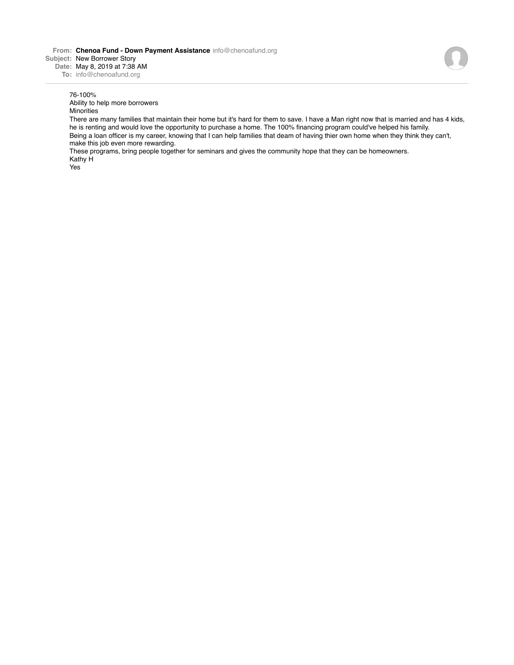**From: Chenoa Fund - Down Payment Assistance** info@chenoafund.org **Subject:** New Borrower Story **Date:** May 8, 2019 at 7:38 AM

**To:** info@chenoafund.org

## 76-100%

Ability to help more borrowers

**Minorities** 

There are many families that maintain their home but it's hard for them to save. I have a Man right now that is married and has 4 kids, he is renting and would love the opportunity to purchase a home. The 100% financing program could've helped his family. Being a loan officer is my career, knowing that I can help families that deam of having thier own home when they think they can't, make this job even more rewarding.

These programs, bring people together for seminars and gives the community hope that they can be homeowners. Kathy H

Yes